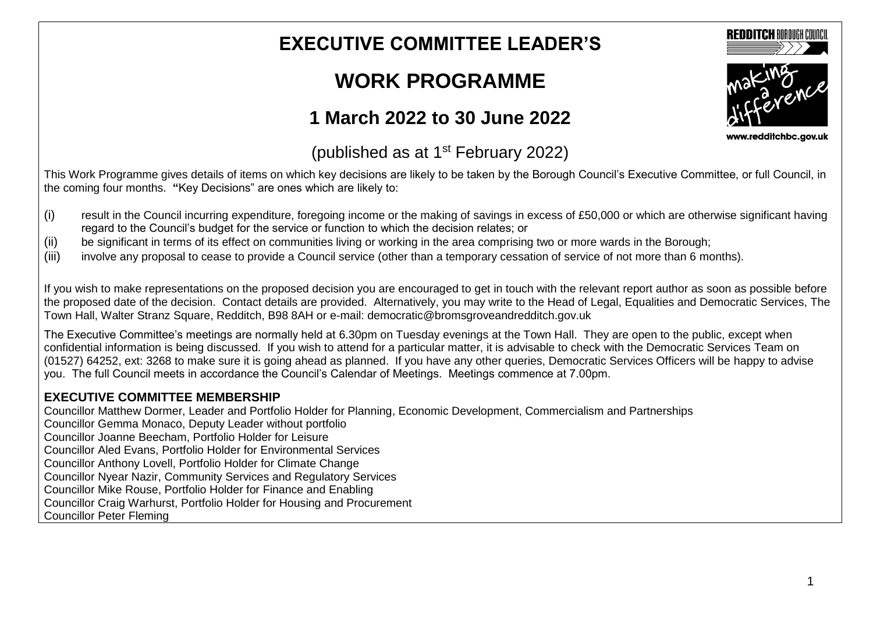## **EXECUTIVE COMMITTEE LEADER'S**

# **WORK PROGRAMME**

## **1 March 2022 to 30 June 2022**

www.redditchbc.gov.uk

**REDDITCH BOROUGH COUNCI** 

#### (published as at  $1<sup>st</sup>$  February 2022)

This Work Programme gives details of items on which key decisions are likely to be taken by the Borough Council's Executive Committee, or full Council, in the coming four months. **"**Key Decisions" are ones which are likely to:

- (i) result in the Council incurring expenditure, foregoing income or the making of savings in excess of £50,000 or which are otherwise significant having regard to the Council's budget for the service or function to which the decision relates; or
- (ii) be significant in terms of its effect on communities living or working in the area comprising two or more wards in the Borough;
- (iii) involve any proposal to cease to provide a Council service (other than a temporary cessation of service of not more than 6 months).

If you wish to make representations on the proposed decision you are encouraged to get in touch with the relevant report author as soon as possible before the proposed date of the decision. Contact details are provided. Alternatively, you may write to the Head of Legal, Equalities and Democratic Services, The Town Hall, Walter Stranz Square, Redditch, B98 8AH or e-mail: democratic@bromsgroveandredditch.gov.uk

The Executive Committee's meetings are normally held at 6.30pm on Tuesday evenings at the Town Hall. They are open to the public, except when confidential information is being discussed. If you wish to attend for a particular matter, it is advisable to check with the Democratic Services Team on (01527) 64252, ext: 3268 to make sure it is going ahead as planned. If you have any other queries, Democratic Services Officers will be happy to advise you. The full Council meets in accordance the Council's Calendar of Meetings. Meetings commence at 7.00pm.

#### **EXECUTIVE COMMITTEE MEMBERSHIP**

Councillor Matthew Dormer, Leader and Portfolio Holder for Planning, Economic Development, Commercialism and Partnerships Councillor Gemma Monaco, Deputy Leader without portfolio Councillor Joanne Beecham, Portfolio Holder for Leisure Councillor Aled Evans, Portfolio Holder for Environmental Services Councillor Anthony Lovell, Portfolio Holder for Climate Change Councillor Nyear Nazir, Community Services and Regulatory Services Councillor Mike Rouse, Portfolio Holder for Finance and Enabling Councillor Craig Warhurst, Portfolio Holder for Housing and Procurement Councillor Peter Fleming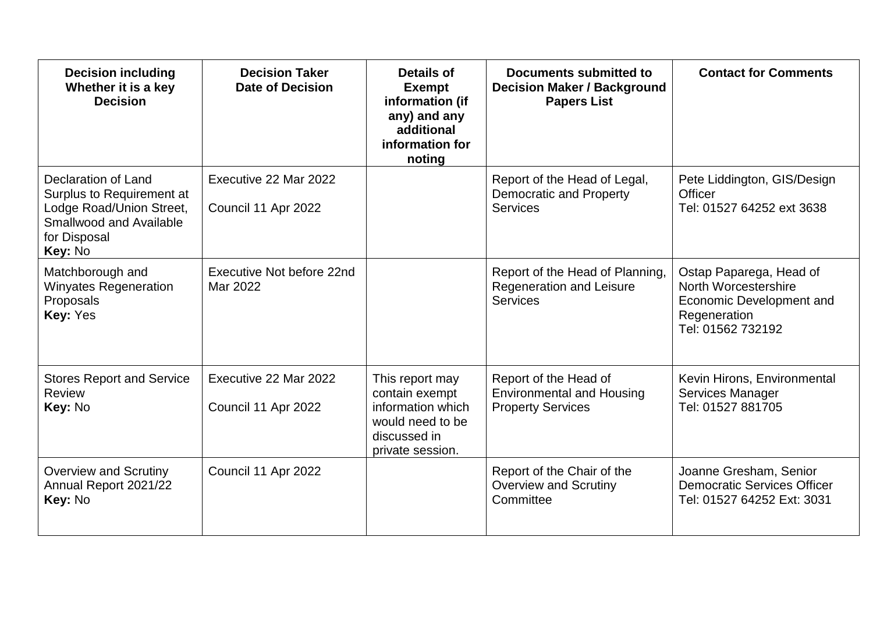| <b>Decision including</b><br>Whether it is a key<br><b>Decision</b>                                                                       | <b>Decision Taker</b><br><b>Date of Decision</b> | Details of<br><b>Exempt</b><br>information (if<br>any) and any<br>additional<br>information for<br>noting      | Documents submitted to<br><b>Decision Maker / Background</b><br><b>Papers List</b>    | <b>Contact for Comments</b>                                                                                      |
|-------------------------------------------------------------------------------------------------------------------------------------------|--------------------------------------------------|----------------------------------------------------------------------------------------------------------------|---------------------------------------------------------------------------------------|------------------------------------------------------------------------------------------------------------------|
| Declaration of Land<br>Surplus to Requirement at<br>Lodge Road/Union Street,<br><b>Smallwood and Available</b><br>for Disposal<br>Key: No | Executive 22 Mar 2022<br>Council 11 Apr 2022     |                                                                                                                | Report of the Head of Legal,<br><b>Democratic and Property</b><br><b>Services</b>     | Pete Liddington, GIS/Design<br><b>Officer</b><br>Tel: 01527 64252 ext 3638                                       |
| Matchborough and<br><b>Winyates Regeneration</b><br>Proposals<br>Key: Yes                                                                 | Executive Not before 22nd<br>Mar 2022            |                                                                                                                | Report of the Head of Planning,<br><b>Regeneration and Leisure</b><br><b>Services</b> | Ostap Paparega, Head of<br>North Worcestershire<br>Economic Development and<br>Regeneration<br>Tel: 01562 732192 |
| <b>Stores Report and Service</b><br><b>Review</b><br>Key: No                                                                              | Executive 22 Mar 2022<br>Council 11 Apr 2022     | This report may<br>contain exempt<br>information which<br>would need to be<br>discussed in<br>private session. | Report of the Head of<br><b>Environmental and Housing</b><br><b>Property Services</b> | Kevin Hirons, Environmental<br>Services Manager<br>Tel: 01527 881705                                             |
| <b>Overview and Scrutiny</b><br>Annual Report 2021/22<br>Key: No                                                                          | Council 11 Apr 2022                              |                                                                                                                | Report of the Chair of the<br><b>Overview and Scrutiny</b><br>Committee               | Joanne Gresham, Senior<br><b>Democratic Services Officer</b><br>Tel: 01527 64252 Ext: 3031                       |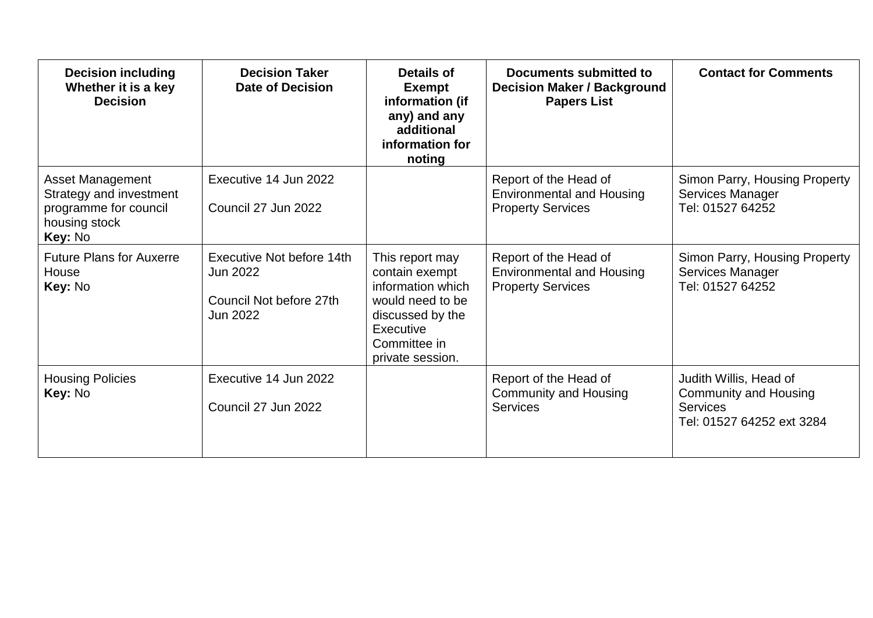| <b>Decision including</b><br>Whether it is a key<br><b>Decision</b>                                     | <b>Decision Taker</b><br><b>Date of Decision</b>                                    | Details of<br><b>Exempt</b><br>information (if<br>any) and any<br>additional<br>information for<br>noting                                       | Documents submitted to<br><b>Decision Maker / Background</b><br><b>Papers List</b>    | <b>Contact for Comments</b>                                                                            |
|---------------------------------------------------------------------------------------------------------|-------------------------------------------------------------------------------------|-------------------------------------------------------------------------------------------------------------------------------------------------|---------------------------------------------------------------------------------------|--------------------------------------------------------------------------------------------------------|
| <b>Asset Management</b><br>Strategy and investment<br>programme for council<br>housing stock<br>Key: No | Executive 14 Jun 2022<br>Council 27 Jun 2022                                        |                                                                                                                                                 | Report of the Head of<br><b>Environmental and Housing</b><br><b>Property Services</b> | Simon Parry, Housing Property<br>Services Manager<br>Tel: 01527 64252                                  |
| <b>Future Plans for Auxerre</b><br>House<br>Key: No                                                     | Executive Not before 14th<br>Jun 2022<br>Council Not before 27th<br><b>Jun 2022</b> | This report may<br>contain exempt<br>information which<br>would need to be<br>discussed by the<br>Executive<br>Committee in<br>private session. | Report of the Head of<br><b>Environmental and Housing</b><br><b>Property Services</b> | Simon Parry, Housing Property<br>Services Manager<br>Tel: 01527 64252                                  |
| <b>Housing Policies</b><br>Key: No                                                                      | Executive 14 Jun 2022<br>Council 27 Jun 2022                                        |                                                                                                                                                 | Report of the Head of<br><b>Community and Housing</b><br><b>Services</b>              | Judith Willis, Head of<br><b>Community and Housing</b><br><b>Services</b><br>Tel: 01527 64252 ext 3284 |